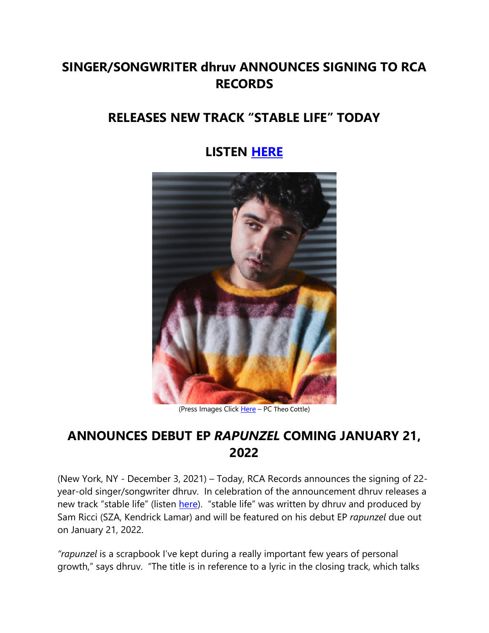# **SINGER/SONGWRITER dhruv ANNOUNCES SIGNING TO RCA RECORDS**

## **RELEASES NEW TRACK "STABLE LIFE" TODAY**

### **LISTEN HERE**



(Press Images Click Here - PC Theo Cottle)

## **ANNOUNCES DEBUT EP** *RAPUNZEL* **COMING JANUARY 21, 2022**

(New York, NY - December 3, 2021) – Today, RCA Records announces the signing of 22 year-old singer/songwriter dhruv. In celebration of the announcement dhruv releases a new track "stable life" (listen here). "stable life" was written by dhruv and produced by Sam Ricci (SZA, Kendrick Lamar) and will be featured on his debut EP *rapunzel* due out on January 21, 2022.

*"rapunzel* is a scrapbook I've kept during a really important few years of personal growth," says dhruv. "The title is in reference to a lyric in the closing track, which talks